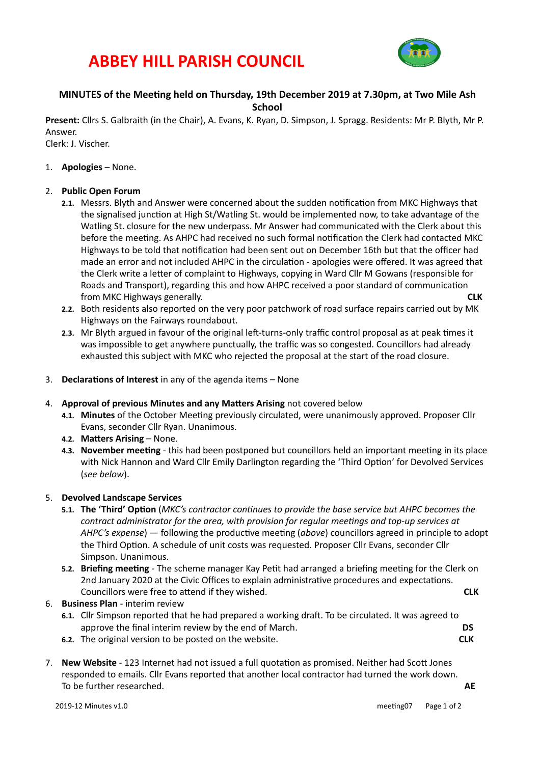# **ABBEY HILL PARISH COUNCIL**



# **MINUTES** of the Meeting held on Thursday, 19th December 2019 at 7.30pm, at Two Mile Ash **School**

Present: Cllrs S. Galbraith (in the Chair), A. Evans, K. Ryan, D. Simpson, J. Spragg. Residents: Mr P. Blyth, Mr P. Answer. 

Clerk: J. Vischer.

1. **Apologies** – None.

## 2. **Public Open Forum**

- 2.1. Messrs. Blyth and Answer were concerned about the sudden notification from MKC Highways that the signalised junction at High St/Watling St. would be implemented now, to take advantage of the Watling St. closure for the new underpass. Mr Answer had communicated with the Clerk about this before the meeting. As AHPC had received no such formal notification the Clerk had contacted MKC Highways to be told that notification had been sent out on December 16th but that the officer had made an error and not included AHPC in the circulation - apologies were offered. It was agreed that the Clerk write a letter of complaint to Highways, copying in Ward Cllr M Gowans (responsible for Roads and Transport), regarding this and how AHPC received a poor standard of communication **CLK COMIXA COMIXA COMIXA CONIXA CONIXA CONIXA CONIXA CONIXA CONIXA CONIXA CONIXA CONIXA CONIXA CONIXA CONIXA CONIXA CONIXA CONIXA CONIXA CONIXA CONIXA CONIXA CONIXA CONIXA**
- 2.2. Both residents also reported on the very poor patchwork of road surface repairs carried out by MK Highways on the Fairways roundabout.
- **2.3.** Mr Blyth argued in favour of the original left-turns-only traffic control proposal as at peak times it was impossible to get anywhere punctually, the traffic was so congested. Councillors had already exhausted this subject with MKC who rejected the proposal at the start of the road closure.
- 3. **Declarations of Interest** in any of the agenda items None
- 4. **Approval of previous Minutes and any Matters Arising** not covered below
	- 4.1. Minutes of the October Meeting previously circulated, were unanimously approved. Proposer Cllr Evans, seconder Cllr Ryan. Unanimous.
	- **4.2. Matters Arising** None.
	- 4.3. **November meeting** this had been postponed but councillors held an important meeting in its place with Nick Hannon and Ward Cllr Emily Darlington regarding the 'Third Option' for Devolved Services (*see below*).

## 5. **Devolved Landscape Services**

- 5.1. The 'Third' Option (MKC's contractor continues to provide the base service but AHPC becomes the *contract administrator for the area, with provision for regular meetings and top-up services at AHPC's* expense) — following the productive meeting (*above*) councillors agreed in principle to adopt the Third Option. A schedule of unit costs was requested. Proposer Cllr Evans, seconder Cllr Simpson. Unanimous.
- **5.2. Briefing meeting** The scheme manager Kay Petit had arranged a briefing meeting for the Clerk on 2nd January 2020 at the Civic Offices to explain administrative procedures and expectations. Councillors were free to attend if they wished. **A** *CLK* **CLK**
- 6. **Business Plan** interim review
	- **6.1.** Cllr Simpson reported that he had prepared a working draft. To be circulated. It was agreed to approve the final interim review by the end of March. **In the analysis** of the state of the state of the state of the state of the state of the state of the state of the state of the state of the state of the state of the
	- **6.2.** The original version to be posted on the website.  **CLK**
- 7. New Website 123 Internet had not issued a full quotation as promised. Neither had Scott Jones responded to emails. Cllr Evans reported that another local contractor had turned the work down. To be further researched. **AE**